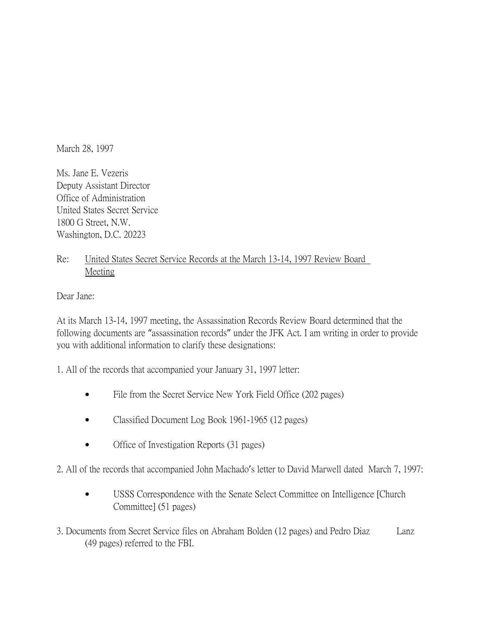March 28, 1997

Ms. Jane E. Vezeris Deputy Assistant Director Office of Administration United States Secret Service 1800 G Street, N.W. Washington, D.C. 20223

## Re: United States Secret Service Records at the March 13-14, 1997 Review Board Meeting

Dear Jane:

At its March 13-14, 1997 meeting, the Assassination Records Review Board determined that the following documents are "assassination records" under the JFK Act. I am writing in order to provide you with additional information to clarify these designations:

1. All of the records that accompanied your January 31, 1997 letter:

- File from the Secret Service New York Field Office (202 pages)
- Classified Document Log Book 1961-1965 (12 pages)
- Office of Investigation Reports (31 pages)

2. All of the records that accompanied John Machado's letter to David Marwell dated March 7, 1997:

- USSS Correspondence with the Senate Select Committee on Intelligence [Church Committee] (51 pages)
- 3. Documents from Secret Service files on Abraham Bolden (12 pages) and Pedro Diaz Lanz (49 pages) referred to the FBI.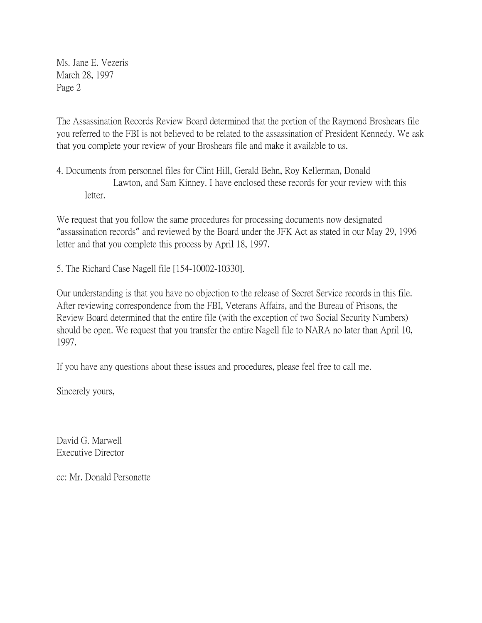Ms. Jane E. Vezeris March 28, 1997 Page 2

The Assassination Records Review Board determined that the portion of the Raymond Broshears file you referred to the FBI is not believed to be related to the assassination of President Kennedy. We ask that you complete your review of your Broshears file and make it available to us.

4. Documents from personnel files for Clint Hill, Gerald Behn, Roy Kellerman, Donald Lawton, and Sam Kinney. I have enclosed these records for your review with this letter.

We request that you follow the same procedures for processing documents now designated "assassination records" and reviewed by the Board under the JFK Act as stated in our May 29, 1996 letter and that you complete this process by April 18, 1997.

5. The Richard Case Nagell file [154-10002-10330].

Our understanding is that you have no objection to the release of Secret Service records in this file. After reviewing correspondence from the FBI, Veterans Affairs, and the Bureau of Prisons, the Review Board determined that the entire file (with the exception of two Social Security Numbers) should be open. We request that you transfer the entire Nagell file to NARA no later than April 10, 1997.

If you have any questions about these issues and procedures, please feel free to call me.

Sincerely yours,

David G. Marwell Executive Director

cc: Mr. Donald Personette